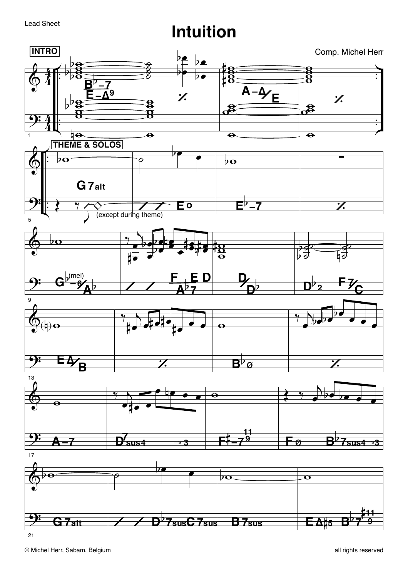**Lead Sheet** 

## **Intuition**